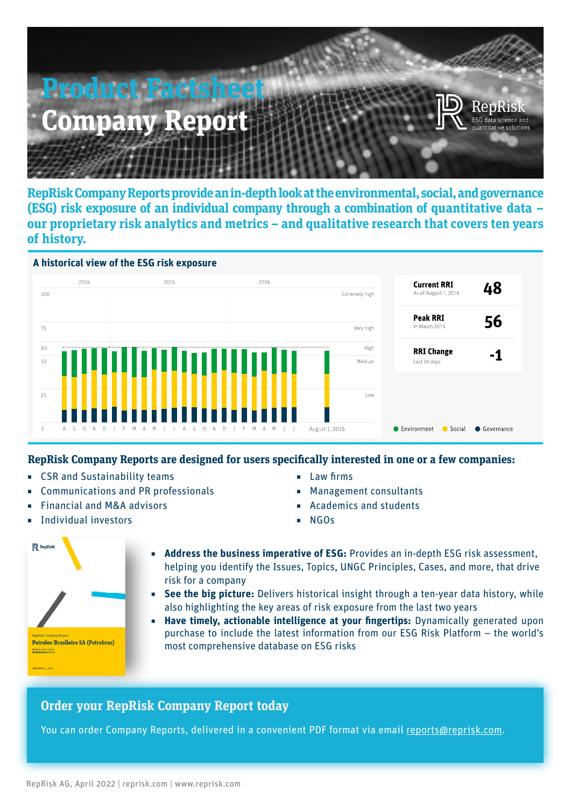

**RepRisk Company Reports provide an in-depth look at the environmental, social, and governance (ESG) risk exposure of an individual company through a combination of quantitative data – our proprietary risk analytics and metrics – and qualitative research that covers ten years of history.**



## **RepRisk Company Reports are designed for users specifically interested in one or a few companies:**

- CSR and Sustainability teams
- Communications and PR professionals
- ◾ Financial and M&A advisors
- Individual investors
- Law firms
- Management consultants
- Academics and students
- ◾ NGOs



- Address the business imperative of ESG: Provides an in-depth ESG risk assessment, helping you identify the Issues, Topics, UNGC Principles, Cases, and more, that drive risk for a company
	- **See the big picture:** Delivers historical insight through a ten-year data history, while also highlighting the key areas of risk exposure from the last two years
- **Have timely, actionable intelligence at your fingertips:** Dynamically generated upon purchase to include the latest information from our ESG Risk Platform – the world's most comprehensive database on ESG risks

## **Order your RepRisk Company Report today**

You can order Company Reports, delivered in a convenient PDF format via email [reports@reprisk.com.](mailto:reports%40reprisk.com?subject=)